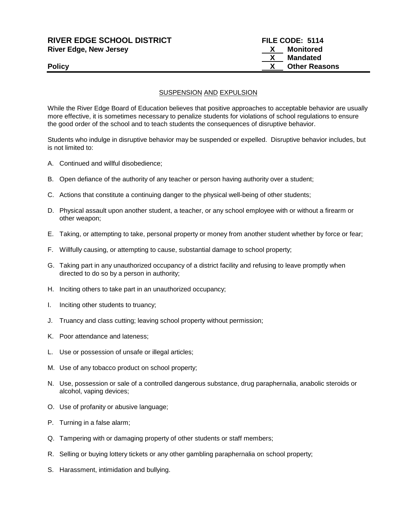| <b>RIVER EDGE SCHOOL DISTRICT</b> | FILE CODE: 5114      |
|-----------------------------------|----------------------|
| <b>River Edge, New Jersey</b>     | Monitored            |
|                                   | Mandated             |
| <b>Policy</b>                     | <b>Other Reasons</b> |
|                                   |                      |

### SUSPENSION AND EXPULSION

While the River Edge Board of Education believes that positive approaches to acceptable behavior are usually more effective, it is sometimes necessary to penalize students for violations of school regulations to ensure the good order of the school and to teach students the consequences of disruptive behavior.

Students who indulge in disruptive behavior may be suspended or expelled. Disruptive behavior includes, but is not limited to:

- A. Continued and willful disobedience;
- B. Open defiance of the authority of any teacher or person having authority over a student;
- C. Actions that constitute a continuing danger to the physical well-being of other students;
- D. Physical assault upon another student, a teacher, or any school employee with or without a firearm or other weapon;
- E. Taking, or attempting to take, personal property or money from another student whether by force or fear;
- F. Willfully causing, or attempting to cause, substantial damage to school property;
- G. Taking part in any unauthorized occupancy of a district facility and refusing to leave promptly when directed to do so by a person in authority;
- H. Inciting others to take part in an unauthorized occupancy;
- I. Inciting other students to truancy;
- J. Truancy and class cutting; leaving school property without permission;
- K. Poor attendance and lateness;
- L. Use or possession of unsafe or illegal articles;
- M. Use of any tobacco product on school property;
- N. Use, possession or sale of a controlled dangerous substance, drug paraphernalia, anabolic steroids or alcohol, vaping devices;
- O. Use of profanity or abusive language;
- P. Turning in a false alarm;
- Q. Tampering with or damaging property of other students or staff members;
- R. Selling or buying lottery tickets or any other gambling paraphernalia on school property;
- S. Harassment, intimidation and bullying.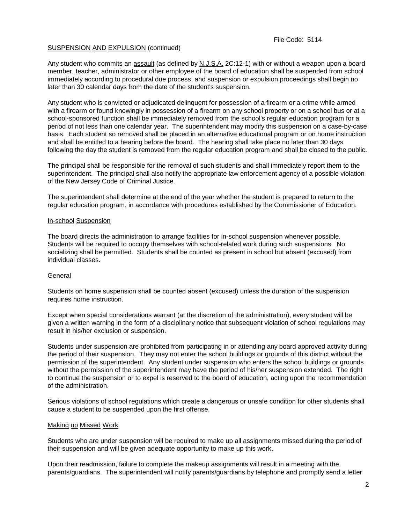Any student who commits an assault (as defined by N.J.S.A. 2C:12-1) with or without a weapon upon a board member, teacher, administrator or other employee of the board of education shall be suspended from school immediately according to procedural due process, and suspension or expulsion proceedings shall begin no later than 30 calendar days from the date of the student's suspension.

Any student who is convicted or adjudicated delinquent for possession of a firearm or a crime while armed with a firearm or found knowingly in possession of a firearm on any school property or on a school bus or at a school-sponsored function shall be immediately removed from the school's regular education program for a period of not less than one calendar year. The superintendent may modify this suspension on a case-by-case basis. Each student so removed shall be placed in an alternative educational program or on home instruction and shall be entitled to a hearing before the board. The hearing shall take place no later than 30 days following the day the student is removed from the regular education program and shall be closed to the public.

The principal shall be responsible for the removal of such students and shall immediately report them to the superintendent. The principal shall also notify the appropriate law enforcement agency of a possible violation of the New Jersey Code of Criminal Justice.

The superintendent shall determine at the end of the year whether the student is prepared to return to the regular education program, in accordance with procedures established by the Commissioner of Education.

#### In-school Suspension

The board directs the administration to arrange facilities for in-school suspension whenever possible. Students will be required to occupy themselves with school-related work during such suspensions. No socializing shall be permitted. Students shall be counted as present in school but absent (excused) from individual classes.

#### **General**

Students on home suspension shall be counted absent (excused) unless the duration of the suspension requires home instruction.

Except when special considerations warrant (at the discretion of the administration), every student will be given a written warning in the form of a disciplinary notice that subsequent violation of school regulations may result in his/her exclusion or suspension.

Students under suspension are prohibited from participating in or attending any board approved activity during the period of their suspension. They may not enter the school buildings or grounds of this district without the permission of the superintendent. Any student under suspension who enters the school buildings or grounds without the permission of the superintendent may have the period of his/her suspension extended. The right to continue the suspension or to expel is reserved to the board of education, acting upon the recommendation of the administration.

Serious violations of school regulations which create a dangerous or unsafe condition for other students shall cause a student to be suspended upon the first offense.

#### Making up Missed Work

Students who are under suspension will be required to make up all assignments missed during the period of their suspension and will be given adequate opportunity to make up this work.

Upon their readmission, failure to complete the makeup assignments will result in a meeting with the parents/guardians. The superintendent will notify parents/guardians by telephone and promptly send a letter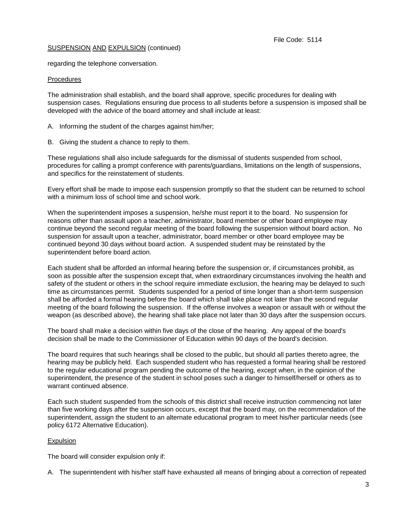regarding the telephone conversation.

### **Procedures**

The administration shall establish, and the board shall approve, specific procedures for dealing with suspension cases. Regulations ensuring due process to all students before a suspension is imposed shall be developed with the advice of the board attorney and shall include at least:

A. Informing the student of the charges against him/her;

B. Giving the student a chance to reply to them.

These regulations shall also include safeguards for the dismissal of students suspended from school, procedures for calling a prompt conference with parents/guardians, limitations on the length of suspensions, and specifics for the reinstatement of students.

Every effort shall be made to impose each suspension promptly so that the student can be returned to school with a minimum loss of school time and school work.

When the superintendent imposes a suspension, he/she must report it to the board. No suspension for reasons other than assault upon a teacher, administrator, board member or other board employee may continue beyond the second regular meeting of the board following the suspension without board action. No suspension for assault upon a teacher, administrator, board member or other board employee may be continued beyond 30 days without board action. A suspended student may be reinstated by the superintendent before board action.

Each student shall be afforded an informal hearing before the suspension or, if circumstances prohibit, as soon as possible after the suspension except that, when extraordinary circumstances involving the health and safety of the student or others in the school require immediate exclusion, the hearing may be delayed to such time as circumstances permit. Students suspended for a period of time longer than a short-term suspension shall be afforded a formal hearing before the board which shall take place not later than the second regular meeting of the board following the suspension. If the offense involves a weapon or assault with or without the weapon (as described above), the hearing shall take place not later than 30 days after the suspension occurs.

The board shall make a decision within five days of the close of the hearing. Any appeal of the board's decision shall be made to the Commissioner of Education within 90 days of the board's decision.

The board requires that such hearings shall be closed to the public, but should all parties thereto agree, the hearing may be publicly held. Each suspended student who has requested a formal hearing shall be restored to the regular educational program pending the outcome of the hearing, except when, in the opinion of the superintendent, the presence of the student in school poses such a danger to himself/herself or others as to warrant continued absence.

Each such student suspended from the schools of this district shall receive instruction commencing not later than five working days after the suspension occurs, except that the board may, on the recommendation of the superintendent, assign the student to an alternate educational program to meet his/her particular needs (see policy 6172 Alternative Education).

## Expulsion

The board will consider expulsion only if:

A. The superintendent with his/her staff have exhausted all means of bringing about a correction of repeated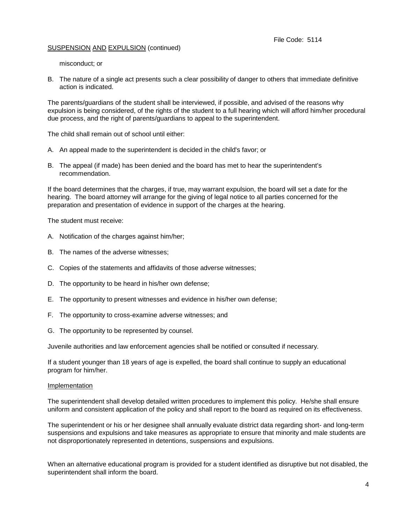misconduct; or

B. The nature of a single act presents such a clear possibility of danger to others that immediate definitive action is indicated.

The parents/guardians of the student shall be interviewed, if possible, and advised of the reasons why expulsion is being considered, of the rights of the student to a full hearing which will afford him/her procedural due process, and the right of parents/guardians to appeal to the superintendent.

The child shall remain out of school until either:

- A. An appeal made to the superintendent is decided in the child's favor; or
- B. The appeal (if made) has been denied and the board has met to hear the superintendent's recommendation.

If the board determines that the charges, if true, may warrant expulsion, the board will set a date for the hearing. The board attorney will arrange for the giving of legal notice to all parties concerned for the preparation and presentation of evidence in support of the charges at the hearing.

The student must receive:

- A. Notification of the charges against him/her;
- B. The names of the adverse witnesses;
- C. Copies of the statements and affidavits of those adverse witnesses;
- D. The opportunity to be heard in his/her own defense;
- E. The opportunity to present witnesses and evidence in his/her own defense;
- F. The opportunity to cross-examine adverse witnesses; and
- G. The opportunity to be represented by counsel.

Juvenile authorities and law enforcement agencies shall be notified or consulted if necessary.

If a student younger than 18 years of age is expelled, the board shall continue to supply an educational program for him/her.

#### Implementation

The superintendent shall develop detailed written procedures to implement this policy. He/she shall ensure uniform and consistent application of the policy and shall report to the board as required on its effectiveness.

The superintendent or his or her designee shall annually evaluate district data regarding short- and long-term suspensions and expulsions and take measures as appropriate to ensure that minority and male students are not disproportionately represented in detentions, suspensions and expulsions.

When an alternative educational program is provided for a student identified as disruptive but not disabled, the superintendent shall inform the board.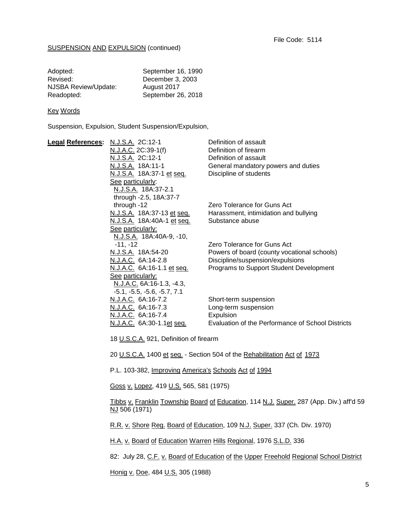| Adopted:             | September 16, 1990 |
|----------------------|--------------------|
| Revised:             | December 3, 2003   |
| NJSBA Review/Update: | August 2017        |
| Readopted:           | September 26, 2018 |

### **Key Words**

Suspension, Expulsion, Student Suspension/Expulsion,

| N.J.S.A. 2C:12-1           | Definition of assault                                                                                                                                                                                                                                                                                                        |
|----------------------------|------------------------------------------------------------------------------------------------------------------------------------------------------------------------------------------------------------------------------------------------------------------------------------------------------------------------------|
| N.J.A.C. 2C:39-1(f)        | Definition of firearm                                                                                                                                                                                                                                                                                                        |
| N.J.S.A. 2C:12-1           | Definition of assault                                                                                                                                                                                                                                                                                                        |
| N.J.S.A. 18A:11-1          | General mandatory powers and duties                                                                                                                                                                                                                                                                                          |
| N.J.S.A. 18A:37-1 et seq.  | Discipline of students                                                                                                                                                                                                                                                                                                       |
| See particularly:          |                                                                                                                                                                                                                                                                                                                              |
| N.J.S.A. 18A:37-2.1        |                                                                                                                                                                                                                                                                                                                              |
|                            |                                                                                                                                                                                                                                                                                                                              |
| through -12                | Zero Tolerance for Guns Act                                                                                                                                                                                                                                                                                                  |
| N.J.S.A. 18A:37-13 et seq. | Harassment, intimidation and bullying                                                                                                                                                                                                                                                                                        |
| N.J.S.A. 18A:40A-1 et seq. | Substance abuse                                                                                                                                                                                                                                                                                                              |
| See particularly:          |                                                                                                                                                                                                                                                                                                                              |
|                            |                                                                                                                                                                                                                                                                                                                              |
|                            | Zero Tolerance for Guns Act                                                                                                                                                                                                                                                                                                  |
|                            | Powers of board (county vocational schools)                                                                                                                                                                                                                                                                                  |
|                            | Discipline/suspension/expulsions                                                                                                                                                                                                                                                                                             |
|                            | Programs to Support Student Development                                                                                                                                                                                                                                                                                      |
|                            |                                                                                                                                                                                                                                                                                                                              |
|                            |                                                                                                                                                                                                                                                                                                                              |
|                            |                                                                                                                                                                                                                                                                                                                              |
|                            | Short-term suspension                                                                                                                                                                                                                                                                                                        |
|                            | Long-term suspension                                                                                                                                                                                                                                                                                                         |
|                            | Expulsion                                                                                                                                                                                                                                                                                                                    |
|                            | Evaluation of the Performance of School Districts                                                                                                                                                                                                                                                                            |
|                            | through -2.5, 18A:37-7<br>N.J.S.A. 18A:40A-9, -10,<br>$-11, -12$<br>N.J.S.A. 18A:54-20<br>N.J.A.C. 6A:14-2.8<br>N.J.A.C. 6A:16-1.1 et seq.<br>See particularly:<br>N.J.A.C. 6A:16-1.3, -4.3,<br>$-5.1, -5.5, -5.6, -5.7, 7.1$<br>N.J.A.C. 6A:16-7.2<br>N.J.A.C. 6A:16-7.3<br>N.J.A.C. 6A:16-7.4<br>N.J.A.C. 6A:30-1.1et seq. |

18 U.S.C.A. 921, Definition of firearm

20 U.S.C.A. 1400 et seq. - Section 504 of the Rehabilitation Act of 1973

P.L. 103-382, Improving America's Schools Act of 1994

Goss v. Lopez, 419 U.S. 565, 581 (1975)

Tibbs v. Franklin Township Board of Education, 114 N.J. Super. 287 (App. Div.) aff'd 59 NJ 506 (1971)

R.R. v. Shore Reg. Board of Education, 109 N.J. Super. 337 (Ch. Div. 1970)

H.A. v. Board of Education Warren Hills Regional, 1976 S.L.D. 336

82: July 28, C.F. v. Board of Education of the Upper Freehold Regional School District

Honig v. Doe, 484 U.S. 305 (1988)